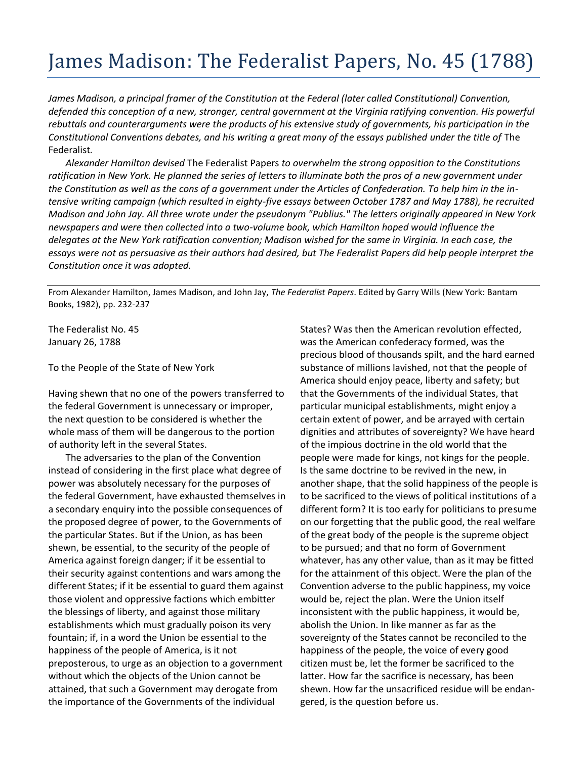## James Madison: The Federalist Papers, No. 45 (1788)

*James Madison, a principal framer of the Constitution at the Federal (later called Constitutional) Convention, defended this conception of a new, stronger, central government at the Virginia ratifying convention. His powerful rebuttals and counterarguments were the products of his extensive study of governments, his participation in the Constitutional Conventions debates, and his writing a great many of the essays published under the title of* The Federalist*.*

*Alexander Hamilton devised* The Federalist Papers *to overwhelm the strong opposition to the Constitutions ratification in New York. He planned the series of letters to illuminate both the pros of a new government under the Constitution as well as the cons of a government under the Articles of Confederation. To help him in the intensive writing campaign (which resulted in eighty-five essays between October 1787 and May 1788), he recruited Madison and John Jay. All three wrote under the pseudonym "Publius." The letters originally appeared in New York newspapers and were then collected into a two-volume book, which Hamilton hoped would influence the delegates at the New York ratification convention; Madison wished for the same in Virginia. In each case, the essays were not as persuasive as their authors had desired, but The Federalist Papers did help people interpret the Constitution once it was adopted.*

From Alexander Hamilton, James Madison, and John Jay, *The Federalist Papers*. Edited by Garry Wills (New York: Bantam Books, 1982), pp. 232-237

The Federalist No. 45 January 26, 1788

To the People of the State of New York

Having shewn that no one of the powers transferred to the federal Government is unnecessary or improper, the next question to be considered is whether the whole mass of them will be dangerous to the portion of authority left in the several States.

The adversaries to the plan of the Convention instead of considering in the first place what degree of power was absolutely necessary for the purposes of the federal Government, have exhausted themselves in a secondary enquiry into the possible consequences of the proposed degree of power, to the Governments of the particular States. But if the Union, as has been shewn, be essential, to the security of the people of America against foreign danger; if it be essential to their security against contentions and wars among the different States; if it be essential to guard them against those violent and oppressive factions which embitter the blessings of liberty, and against those military establishments which must gradually poison its very fountain; if, in a word the Union be essential to the happiness of the people of America, is it not preposterous, to urge as an objection to a government without which the objects of the Union cannot be attained, that such a Government may derogate from the importance of the Governments of the individual

States? Was then the American revolution effected, was the American confederacy formed, was the precious blood of thousands spilt, and the hard earned substance of millions lavished, not that the people of America should enjoy peace, liberty and safety; but that the Governments of the individual States, that particular municipal establishments, might enjoy a certain extent of power, and be arrayed with certain dignities and attributes of sovereignty? We have heard of the impious doctrine in the old world that the people were made for kings, not kings for the people. Is the same doctrine to be revived in the new, in another shape, that the solid happiness of the people is to be sacrificed to the views of political institutions of a different form? It is too early for politicians to presume on our forgetting that the public good, the real welfare of the great body of the people is the supreme object to be pursued; and that no form of Government whatever, has any other value, than as it may be fitted for the attainment of this object. Were the plan of the Convention adverse to the public happiness, my voice would be, reject the plan. Were the Union itself inconsistent with the public happiness, it would be, abolish the Union. In like manner as far as the sovereignty of the States cannot be reconciled to the happiness of the people, the voice of every good citizen must be, let the former be sacrificed to the latter. How far the sacrifice is necessary, has been shewn. How far the unsacrificed residue will be endangered, is the question before us.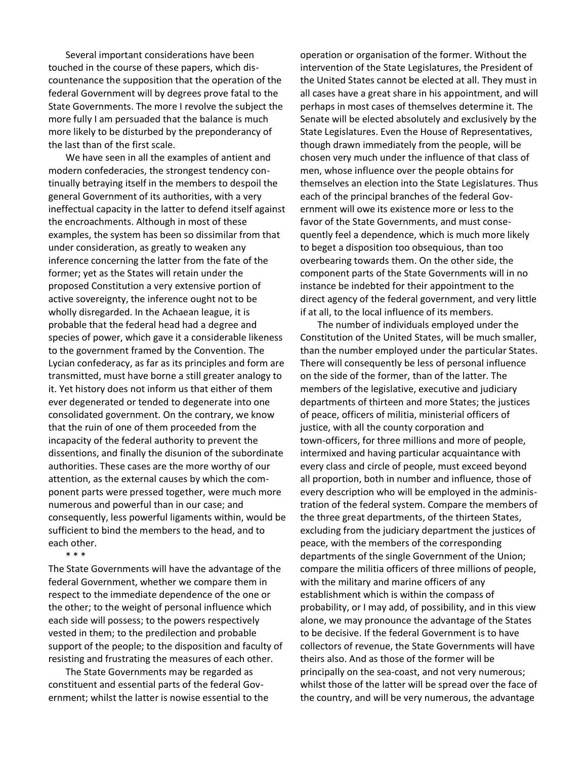Several important considerations have been touched in the course of these papers, which discountenance the supposition that the operation of the federal Government will by degrees prove fatal to the State Governments. The more I revolve the subject the more fully I am persuaded that the balance is much more likely to be disturbed by the preponderancy of the last than of the first scale.

We have seen in all the examples of antient and modern confederacies, the strongest tendency continually betraying itself in the members to despoil the general Government of its authorities, with a very ineffectual capacity in the latter to defend itself against the encroachments. Although in most of these examples, the system has been so dissimilar from that under consideration, as greatly to weaken any inference concerning the latter from the fate of the former; yet as the States will retain under the proposed Constitution a very extensive portion of active sovereignty, the inference ought not to be wholly disregarded. In the Achaean league, it is probable that the federal head had a degree and species of power, which gave it a considerable likeness to the government framed by the Convention. The Lycian confederacy, as far as its principles and form are transmitted, must have borne a still greater analogy to it. Yet history does not inform us that either of them ever degenerated or tended to degenerate into one consolidated government. On the contrary, we know that the ruin of one of them proceeded from the incapacity of the federal authority to prevent the dissentions, and finally the disunion of the subordinate authorities. These cases are the more worthy of our attention, as the external causes by which the component parts were pressed together, were much more numerous and powerful than in our case; and consequently, less powerful ligaments within, would be sufficient to bind the members to the head, and to each other.

\* \* \*

The State Governments will have the advantage of the federal Government, whether we compare them in respect to the immediate dependence of the one or the other; to the weight of personal influence which each side will possess; to the powers respectively vested in them; to the predilection and probable support of the people; to the disposition and faculty of resisting and frustrating the measures of each other.

The State Governments may be regarded as constituent and essential parts of the federal Government; whilst the latter is nowise essential to the operation or organisation of the former. Without the intervention of the State Legislatures, the President of the United States cannot be elected at all. They must in all cases have a great share in his appointment, and will perhaps in most cases of themselves determine it. The Senate will be elected absolutely and exclusively by the State Legislatures. Even the House of Representatives, though drawn immediately from the people, will be chosen very much under the influence of that class of men, whose influence over the people obtains for themselves an election into the State Legislatures. Thus each of the principal branches of the federal Government will owe its existence more or less to the favor of the State Governments, and must consequently feel a dependence, which is much more likely to beget a disposition too obsequious, than too overbearing towards them. On the other side, the component parts of the State Governments will in no instance be indebted for their appointment to the direct agency of the federal government, and very little if at all, to the local influence of its members.

The number of individuals employed under the Constitution of the United States, will be much smaller, than the number employed under the particular States. There will consequently be less of personal influence on the side of the former, than of the latter. The members of the legislative, executive and judiciary departments of thirteen and more States; the justices of peace, officers of militia, ministerial officers of justice, with all the county corporation and town-officers, for three millions and more of people, intermixed and having particular acquaintance with every class and circle of people, must exceed beyond all proportion, both in number and influence, those of every description who will be employed in the administration of the federal system. Compare the members of the three great departments, of the thirteen States, excluding from the judiciary department the justices of peace, with the members of the corresponding departments of the single Government of the Union; compare the militia officers of three millions of people, with the military and marine officers of any establishment which is within the compass of probability, or I may add, of possibility, and in this view alone, we may pronounce the advantage of the States to be decisive. If the federal Government is to have collectors of revenue, the State Governments will have theirs also. And as those of the former will be principally on the sea-coast, and not very numerous; whilst those of the latter will be spread over the face of the country, and will be very numerous, the advantage